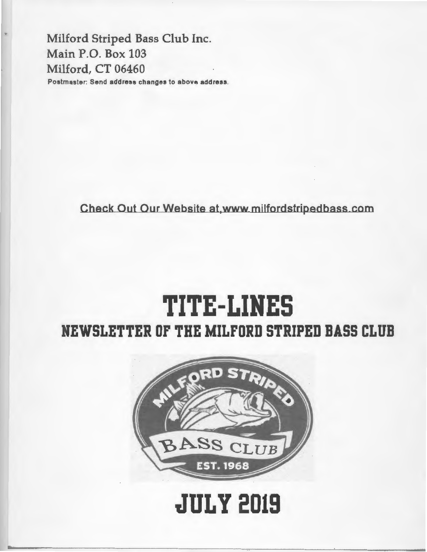Milford Striped Bass Club Inc. Main P.O. Box 103 Milford, CT 06460 Postmaster: Send address changes to above address.

Check Out Our Website at,www milfordstripedbass com

# **TITE-LINES NEWSLETTER OF THE MILFORD STRIPED BASS CLUB**



**JULY 2019**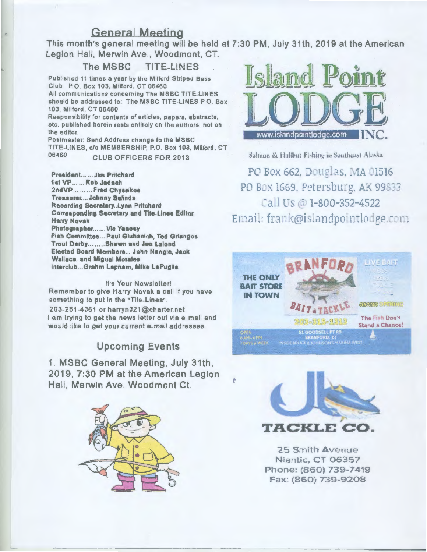### General Meeting

This month's general meeting will be held at 7:30 PM, July 31th, 2019 at the American Legion Hall, Merwin Ave., Woodmont, CT.

> ::. '•

#### The MSBC TITE-LINES

Published 11 times a year by the Milford Striped Bass Club. P.O. Box 103, Milford, CT 06460 All communications concerning The MSBC TITE-LINES should be addressed to: The MSBC TITE-LINES P.O. Box 103, Milford , CT 06460 Responsibility for contents of articles, papers, abstracts,

etc. published herein rests entirely on the authors, not on the editor.

Postmaster: Send Address change to the MSBC TITE-LINES, c/o MEMBERSHIP, P.O. Box 103, Milford , CT 06460 CLUB OFFICERS FOR 2013

President... ... Jim Pritchard 1st VP... ... Rob Jadach 2ndVP ......... Fred Chysalkos Treasurer....Johnny Belinda Recording Secretary..Lynn Pritchard Corresponding Secretary and Tite-Lines Editor, Harry Novak Photographer....... Vic Yanosy Fish Committee... Paul Gluhanich, Ted Griangos Trout Derby ... ..... Shawn and Jen Lalond Elected Board Members ... John Nangle, Jack Wallace, and Miguel Morales lnterclub ... Grahm Lapham, Mike LaPuglla

It's Your Newsletter! Remember to give Harry Novak a call if you have something to put in the "Tite-Lines".

203-261 -4361 or harryn321 @charter. net I am trying to get the news letter out via e-mail and would like to get your current e-mail addresses.

#### Upcoming Events

1. MSBC General Meeting, July 31th, 2019, 7:30 PM at the American Legion Hall, Merwin Ave. Woodmont Ct.



--- --~--------------



Salmon & Halibut Fishing in Southeast Alaska

PO Box 662, Douglas, MA 01516 PO Box 1669, Petersburg, AK 99833 Call Us @ 1-800-352-4522 Email: frank@islandpointlodge.com





25 Smith Avenue Niantic, CT 06357 Phone: (860) 739-7419 Fax: (860} 739-9208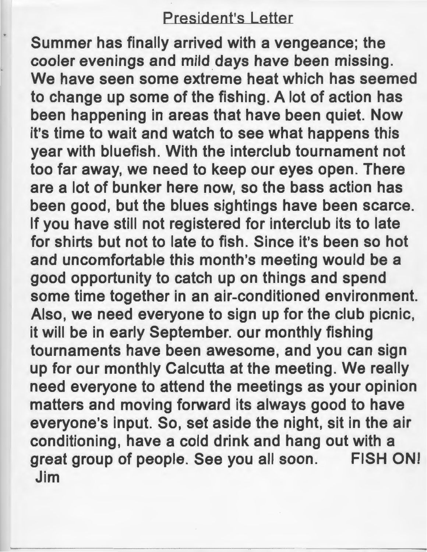## President's Letter

Summer has finally arrived with a vengeance; the cooler evenings and mild days have been missing. We have seen some extreme heat which has seemed to change up some of the fishing. A lot of action has been happening in areas that have been quiet. Now it's time to wait and watch to see what happens this year with bluefish. With the interclub tournament not too far away, we need to keep our eyes open. There are a lot of bunker here now, so the bass action has been good, but the blues sightings have been scarce. If you have still not registered for interclub its to late for shirts but not to late to fish. Since it's been so hot and uncomfortable this month's meeting would be a good opportunity to catch up on things and spend some time together in an air-conditioned environment. Also, we need everyone to sign up for the club picnic, it will be in early September. our monthly fishing tournaments have been awesome, and you can sign up for our monthly Calcutta at the meeting. We really need everyone to attend the meetings as your opinion matters and moving forward its always good to have everyone's input. So, set aside the night, sit in the air conditioning, have a cold drink and hang out with a great group of people. See you all soon. FISH ON! Jim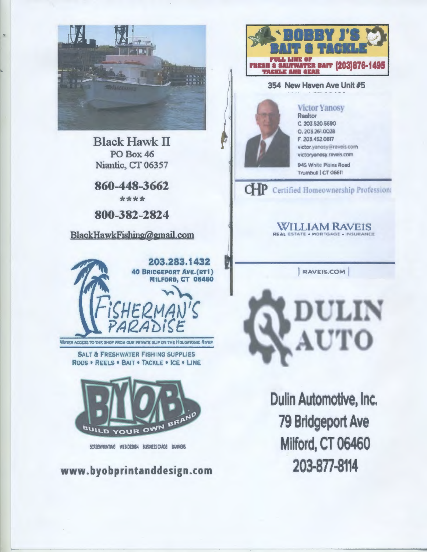

**Black Hawk II PO Box 46 Niantic, CT 06357** 

860-448-3662 \*\*\*\*

800-382-2824

BlackHawkFishing@gmail.com



WATER ACCESS TO THE SHOP FROM OUR PRIVATE SLIP ON THE HOUSATONIC RIVER

**SALT & FRESHWATER FISHING SUPPLIES** RODS . REELS . BAIT . TACKLE . ICE . LINE



SCREENPRINTING WEBDESIGN BUSINESS CARDS BANNERS

www.byobprintanddesign.com



#### 354 New Haven Ave Unit #5

**Victor Yanosy** Realtor

C. 203 520 5690 0.203.261.0028 F 203 452 0817 victor.yanosy@raveis.com victoryanosy.raveis.com

945 White Plains Road Trumbull | CT 06611

CHP Certified Homeownership Professions



RAVEIS.COM



Dulin Automotive, Inc. 79 Bridgeport Ave Milford, CT 06460 203-877-8114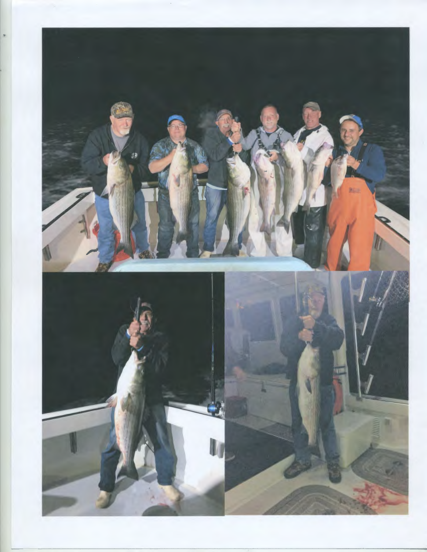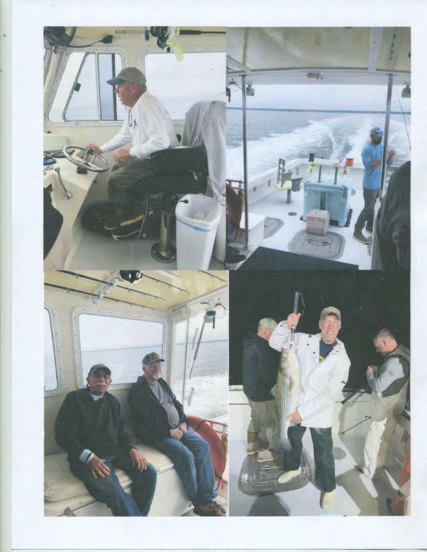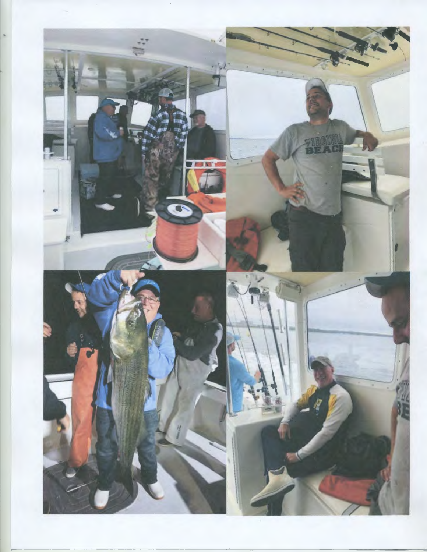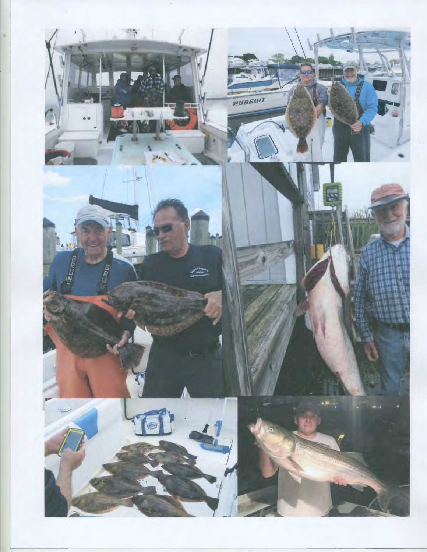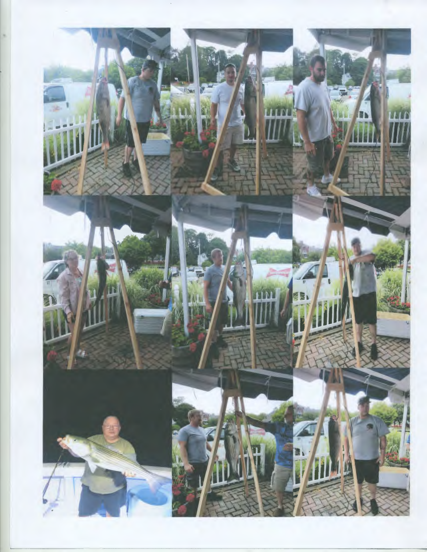